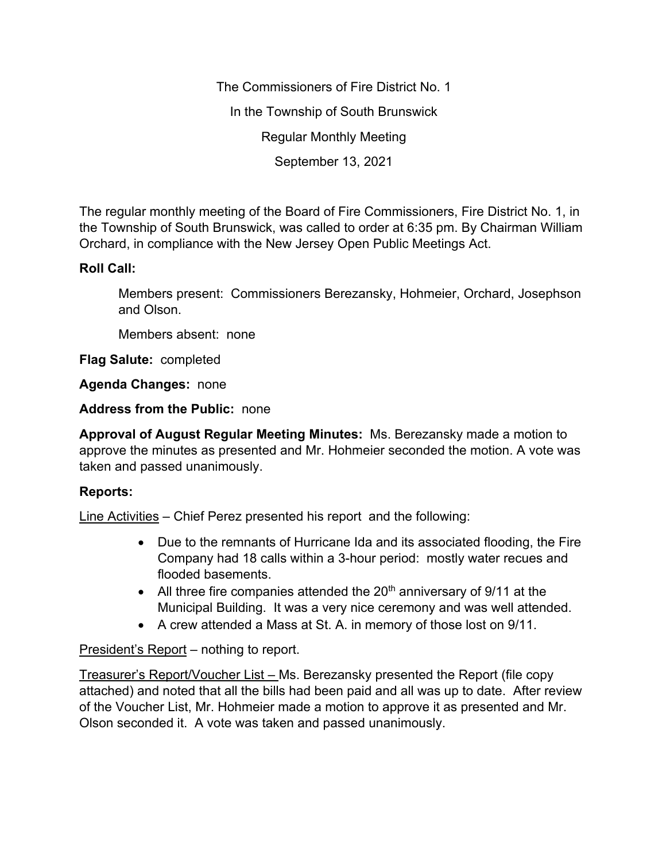The Commissioners of Fire District No. 1 In the Township of South Brunswick Regular Monthly Meeting September 13, 2021

The regular monthly meeting of the Board of Fire Commissioners, Fire District No. 1, in the Township of South Brunswick, was called to order at 6:35 pm. By Chairman William Orchard, in compliance with the New Jersey Open Public Meetings Act.

## **Roll Call:**

Members present: Commissioners Berezansky, Hohmeier, Orchard, Josephson and Olson.

Members absent: none

**Flag Salute:** completed

**Agenda Changes:** none

**Address from the Public:** none

**Approval of August Regular Meeting Minutes:** Ms. Berezansky made a motion to approve the minutes as presented and Mr. Hohmeier seconded the motion. A vote was taken and passed unanimously.

## **Reports:**

Line Activities – Chief Perez presented his report and the following:

- Due to the remnants of Hurricane Ida and its associated flooding, the Fire Company had 18 calls within a 3-hour period: mostly water recues and flooded basements.
- All three fire companies attended the  $20<sup>th</sup>$  anniversary of  $9/11$  at the Municipal Building. It was a very nice ceremony and was well attended.
- A crew attended a Mass at St. A. in memory of those lost on 9/11.

## President's Report – nothing to report.

Treasurer's Report/Voucher List – Ms. Berezansky presented the Report (file copy attached) and noted that all the bills had been paid and all was up to date. After review of the Voucher List, Mr. Hohmeier made a motion to approve it as presented and Mr. Olson seconded it. A vote was taken and passed unanimously.